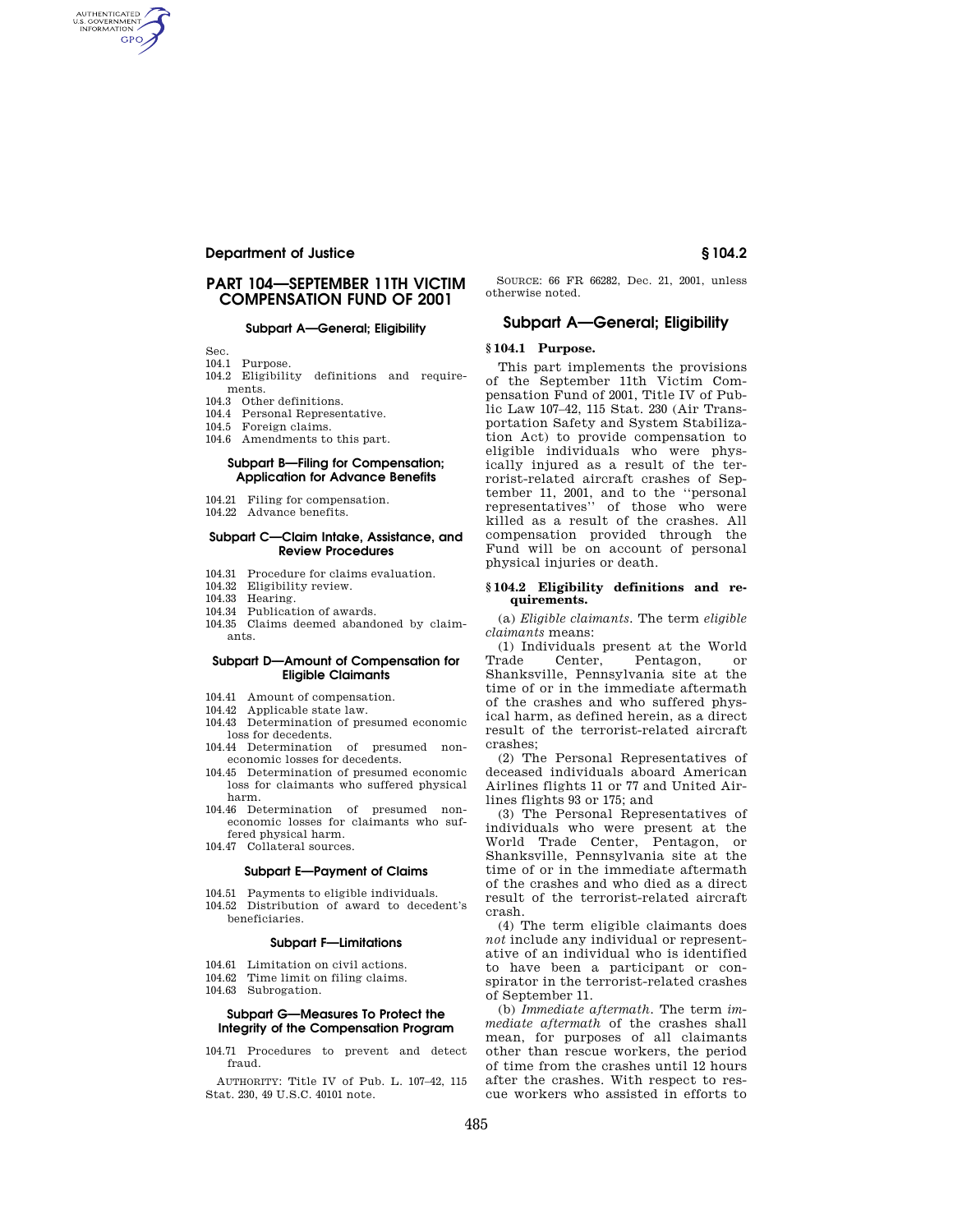# **Department of Justice § 104.2**

# **PART 104—SEPTEMBER 11TH VICTIM COMPENSATION FUND OF 2001**

## **Subpart A—General; Eligibility**

Sec.

AUTHENTICATED<br>U.S. GOVERNMENT<br>INFORMATION **GPO** 

- 104.1 Purpose.
- 104.2 Eligibility definitions and requirements.
- 104.3 Other definitions.
- 104.4 Personal Representative.
- 104.5 Foreign claims.
- 104.6 Amendments to this part.

## **Subpart B—Filing for Compensation; Application for Advance Benefits**

- 104.21 Filing for compensation.
- 104.22 Advance benefits.

#### **Subpart C—Claim Intake, Assistance, and Review Procedures**

- 104.31 Procedure for claims evaluation.
- 104.32 Eligibility review.
- 104.33 Hearing.
- 104.34 Publication of awards.
- 104.35 Claims deemed abandoned by claimants.

#### **Subpart D—Amount of Compensation for Eligible Claimants**

- 104.41 Amount of compensation.
- 104.42 Applicable state law.
- 104.43 Determination of presumed economic loss for decedents.
- 104.44 Determination of presumed noneconomic losses for decedents.
- 104.45 Determination of presumed economic loss for claimants who suffered physical harm.
- 104.46 Determination of presumed noneconomic losses for claimants who suffered physical harm.
- 104.47 Collateral sources.

# **Subpart E—Payment of Claims**

104.51 Payments to eligible individuals. 104.52 Distribution of award to decedent's

#### **Subpart F—Limitations**

- 104.61 Limitation on civil actions.
- 104.62 Time limit on filing claims.
- 104.63 Subrogation.

beneficiaries.

## **Subpart G—Measures To Protect the Integrity of the Compensation Program**

104.71 Procedures to prevent and detect fraud.

AUTHORITY: Title IV of Pub. L. 107–42, 115 Stat. 230, 49 U.S.C. 40101 note.

SOURCE: 66 FR 66282, Dec. 21, 2001, unless otherwise noted.

## **Subpart A—General; Eligibility**

# **§ 104.1 Purpose.**

This part implements the provisions of the September 11th Victim Compensation Fund of 2001, Title IV of Public Law 107–42, 115 Stat. 230 (Air Transportation Safety and System Stabilization Act) to provide compensation to eligible individuals who were physically injured as a result of the terrorist-related aircraft crashes of September 11, 2001, and to the ''personal representatives'' of those who were killed as a result of the crashes. All compensation provided through the Fund will be on account of personal physical injuries or death.

#### **§ 104.2 Eligibility definitions and requirements.**

(a) *Eligible claimants.* The term *eligible claimants* means:

(1) Individuals present at the World Trade Center, Pentagon, or Shanksville, Pennsylvania site at the time of or in the immediate aftermath of the crashes and who suffered physical harm, as defined herein, as a direct result of the terrorist-related aircraft crashes;

(2) The Personal Representatives of deceased individuals aboard American Airlines flights 11 or 77 and United Airlines flights 93 or 175; and

(3) The Personal Representatives of individuals who were present at the World Trade Center, Pentagon, or Shanksville, Pennsylvania site at the time of or in the immediate aftermath of the crashes and who died as a direct result of the terrorist-related aircraft crash.

(4) The term eligible claimants does *not* include any individual or representative of an individual who is identified to have been a participant or conspirator in the terrorist-related crashes of September 11.

(b) *Immediate aftermath.* The term *immediate aftermath* of the crashes shall mean, for purposes of all claimants other than rescue workers, the period of time from the crashes until 12 hours after the crashes. With respect to rescue workers who assisted in efforts to